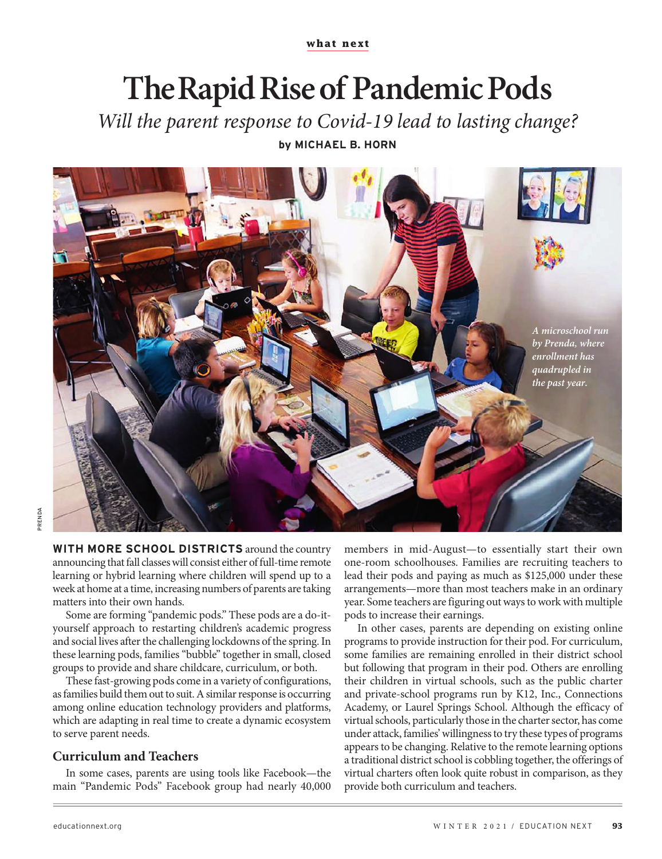**what next**

# **The Rapid Rise of Pandemic Pods**

*Will the parent response to Covid-19 lead to lasting change?*

**by MICHAEL B. HORN**



**WITH MORE SCHOOL DISTRICTS** around the country announcing that fall classes will consist either of full-time remote learning or hybrid learning where children will spend up to a week at home at a time, increasing numbers of parents are taking matters into their own hands.

Some are forming "pandemic pods." These pods are a do-ityourself approach to restarting children's academic progress and social lives after the challenging lockdowns of the spring. In these learning pods, families "bubble" together in small, closed groups to provide and share childcare, curriculum, or both.

These fast-growing pods come in a variety of configurations, as families build them out to suit. A similar response is occurring among online education technology providers and platforms, which are adapting in real time to create a dynamic ecosystem to serve parent needs.

## **Curriculum and Teachers**

In some cases, parents are using tools like Facebook—the main "Pandemic Pods" Facebook group had nearly 40,000

members in mid-August—to essentially start their own one-room schoolhouses. Families are recruiting teachers to lead their pods and paying as much as \$125,000 under these arrangements—more than most teachers make in an ordinary year. Some teachers are figuring out ways to work with multiple pods to increase their earnings.

In other cases, parents are depending on existing online programs to provide instruction for their pod. For curriculum, some families are remaining enrolled in their district school but following that program in their pod. Others are enrolling their children in virtual schools, such as the public charter and private-school programs run by K12, Inc., Connections Academy, or Laurel Springs School. Although the efficacy of virtual schools, particularly those in the charter sector, has come under attack, families' willingness to try these types of programs appears to be changing. Relative to the remote learning options a traditional district school is cobbling together, the offerings of virtual charters often look quite robust in comparison, as they provide both curriculum and teachers.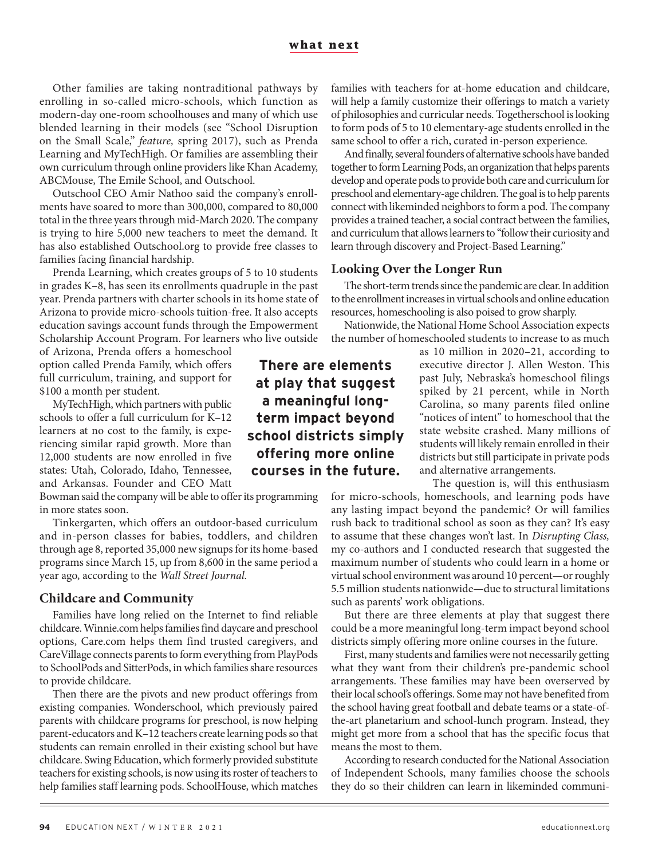Other families are taking nontraditional pathways by enrolling in so-called micro-schools, which function as modern-day one-room schoolhouses and many of which use blended learning in their models (see "School Disruption on the Small Scale," *feature,* spring 2017), such as Prenda Learning and MyTechHigh. Or families are assembling their own curriculum through online providers like Khan Academy, ABCMouse, The Emile School, and Outschool.

Outschool CEO Amir Nathoo said the company's enrollments have soared to more than 300,000, compared to 80,000 total in the three years through mid-March 2020. The company is trying to hire 5,000 new teachers to meet the demand. It has also established Outschool.org to provide free classes to families facing financial hardship.

Prenda Learning, which creates groups of 5 to 10 students in grades K–8, has seen its enrollments quadruple in the past year. Prenda partners with charter schools in its home state of Arizona to provide micro-schools tuition-free. It also accepts education savings account funds through the Empowerment Scholarship Account Program. For learners who live outside

of Arizona, Prenda offers a homeschool option called Prenda Family, which offers full curriculum, training, and support for \$100 a month per student.

MyTechHigh, which partners with public schools to offer a full curriculum for K–12 learners at no cost to the family, is experiencing similar rapid growth. More than 12,000 students are now enrolled in five states: Utah, Colorado, Idaho, Tennessee, and Arkansas. Founder and CEO Matt

Bowman said the company will be able to offerits programming in more states soon.

Tinkergarten, which offers an outdoor-based curriculum and in-person classes for babies, toddlers, and children through age 8, reported 35,000 new signups for its home-based programs since March 15, up from 8,600 in the same period a year ago, according to the *Wall Street Journal.*

### **Childcare and Community**

Families have long relied on the Internet to find reliable childcare. Winnie.com helps families find daycare and preschool options, Care.com helps them find trusted caregivers, and CareVillage connects parents to form everything from PlayPods to SchoolPods and SitterPods, in which families share resources to provide childcare.

Then there are the pivots and new product offerings from existing companies. Wonderschool, which previously paired parents with childcare programs for preschool, is now helping parent-educators and K–12 teachers create learning pods so that students can remain enrolled in their existing school but have childcare. Swing Education, which formerly provided substitute teachers for existing schools, is now using its roster of teachers to help families staff learning pods. SchoolHouse, which matches

families with teachers for at-home education and childcare, will help a family customize their offerings to match a variety of philosophies and curricular needs. Togetherschool is looking to form pods of 5 to 10 elementary-age students enrolled in the same school to offer a rich, curated in-person experience.

And finally, several founders of alternative schools have banded together to form Learning Pods, an organization that helps parents develop and operate pods to provide both care and curriculum for preschool and elementary-age children. The goal is to help parents connect with likeminded neighbors to form a pod. The company provides a trained teacher, a social contract between the families, and curriculum that allows learners to "follow their curiosity and learn through discovery and Project-Based Learning."

#### **Looking Over the Longer Run**

The short-term trends since the pandemic are clear. In addition to the enrollment increases in virtual schools and online education resources, homeschooling is also poised to grow sharply.

Nationwide, the National Home School Association expects the number of homeschooled students to increase to as much

as 10 million in 2020–21, according to executive director J. Allen Weston. This past July, Nebraska's homeschool filings spiked by 21 percent, while in North Carolina, so many parents filed online "notices of intent" to homeschool that the state website crashed. Many millions of students will likely remain enrolled in their districts but still participate in private pods and alternative arrangements.

The question is, will this enthusiasm for micro-schools, homeschools, and learning pods have any lasting impact beyond the pandemic? Or will families rush back to traditional school as soon as they can? It's easy to assume that these changes won't last. In *Disrupting Class,*  my co-authors and I conducted research that suggested the maximum number of students who could learn in a home or virtual school environment was around 10 percent—or roughly 5.5 million students nationwide—due to structural limitations such as parents' work obligations.

But there are three elements at play that suggest there could be a more meaningful long-term impact beyond school districts simply offering more online courses in the future.

First, many students and families were not necessarily getting what they want from their children's pre-pandemic school arrangements. These families may have been overserved by their local school's offerings. Some may not have benefited from the school having great football and debate teams or a state-ofthe-art planetarium and school-lunch program. Instead, they might get more from a school that has the specific focus that means the most to them.

According to research conducted for the National Association of Independent Schools, many families choose the schools they do so their children can learn in likeminded communi-

**There are elements at play that suggest a meaningful longterm impact beyond school districts simply offering more online courses in the future.**